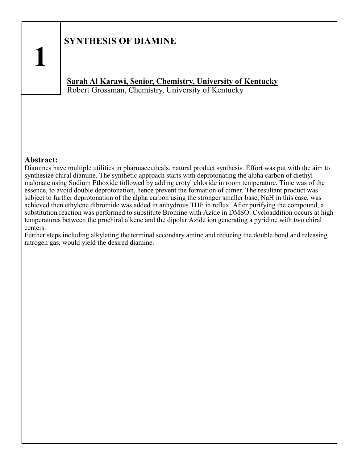## **SYNTHESIS OF DIAMINE**

## **Sarah Al Karawi, Senior, Chemistry, University of Kentucky** Robert Grossman, Chemistry, University of Kentucky

#### **Abstract:**

Diamines have multiple utilities in pharmaceuticals, natural product synthesis. Effort was put with the aim to synthesize chiral diamine. The synthetic approach starts with deprotonating the alpha carbon of diethyl malonate using Sodium Ethoxide followed by adding crotyl chloride in room temperature. Time was of the essence, to avoid double deprotonation, hence prevent the formation of dimer. The resultant product was subject to further deprotonation of the alpha carbon using the stronger smaller base, NaH in this case, was achieved then ethylene dibromide was added in anhydrous THF in reflux. After purifying the compound, a substitution reaction was performed to substitute Bromine with Azide in DMSO. Cycloaddition occurs at high temperatures between the prochiral alkene and the dipolar Azide ion generating a pyridine with two chiral centers.

Further steps including alkylating the terminal secondary amine and reducing the double bond and releasing nitrogen gas, would yield the desired diamine.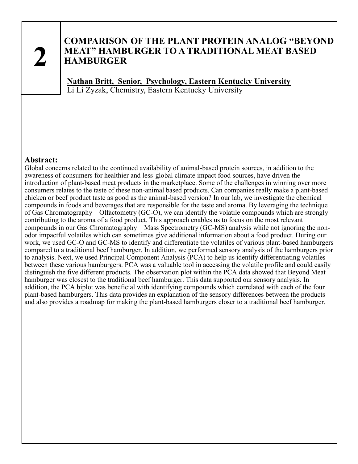## **COMPARISON OF THE PLANT PROTEIN ANALOG "BEYOND MEAT" HAMBURGER TO A TRADITIONAL MEAT BASED HAMBURGER**

**Nathan Britt, Senior, Psychology, Eastern Kentucky University** Li Li Zyzak, Chemistry, Eastern Kentucky University

#### **Abstract:**

Global concerns related to the continued availability of animal-based protein sources, in addition to the awareness of consumers for healthier and less-global climate impact food sources, have driven the introduction of plant-based meat products in the marketplace. Some of the challenges in winning over more consumers relates to the taste of these non-animal based products. Can companies really make a plant-based chicken or beef product taste as good as the animal-based version? In our lab, we investigate the chemical compounds in foods and beverages that are responsible for the taste and aroma. By leveraging the technique of Gas Chromatography – Olfactometry (GC-O), we can identify the volatile compounds which are strongly contributing to the aroma of a food product. This approach enables us to focus on the most relevant compounds in our Gas Chromatography – Mass Spectrometry (GC-MS) analysis while not ignoring the nonodor impactful volatiles which can sometimes give additional information about a food product. During our work, we used GC-O and GC-MS to identify and differentiate the volatiles of various plant-based hamburgers compared to a traditional beef hamburger. In addition, we performed sensory analysis of the hamburgers prior to analysis. Next, we used Principal Component Analysis (PCA) to help us identify differentiating volatiles between these various hamburgers. PCA was a valuable tool in accessing the volatile profile and could easily distinguish the five different products. The observation plot within the PCA data showed that Beyond Meat hamburger was closest to the traditional beef hamburger. This data supported our sensory analysis. In addition, the PCA biplot was beneficial with identifying compounds which correlated with each of the four plant-based hamburgers. This data provides an explanation of the sensory differences between the products and also provides a roadmap for making the plant-based hamburgers closer to a traditional beef hamburger.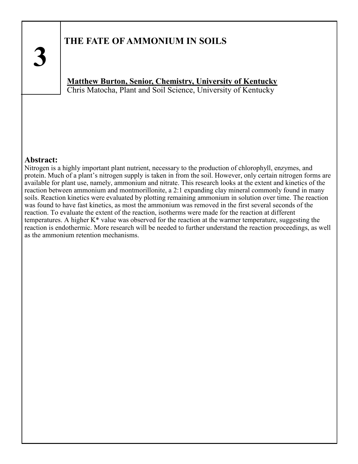## **THE FATE OF AMMONIUM IN SOILS**

**Matthew Burton, Senior, Chemistry, University of Kentucky** Chris Matocha, Plant and Soil Science, University of Kentucky

#### **Abstract:**

Nitrogen is a highly important plant nutrient, necessary to the production of chlorophyll, enzymes, and protein. Much of a plant's nitrogen supply is taken in from the soil. However, only certain nitrogen forms are available for plant use, namely, ammonium and nitrate. This research looks at the extent and kinetics of the reaction between ammonium and montmorillonite, a 2:1 expanding clay mineral commonly found in many soils. Reaction kinetics were evaluated by plotting remaining ammonium in solution over time. The reaction was found to have fast kinetics, as most the ammonium was removed in the first several seconds of the reaction. To evaluate the extent of the reaction, isotherms were made for the reaction at different temperatures. A higher K\* value was observed for the reaction at the warmer temperature, suggesting the reaction is endothermic. More research will be needed to further understand the reaction proceedings, as well as the ammonium retention mechanisms.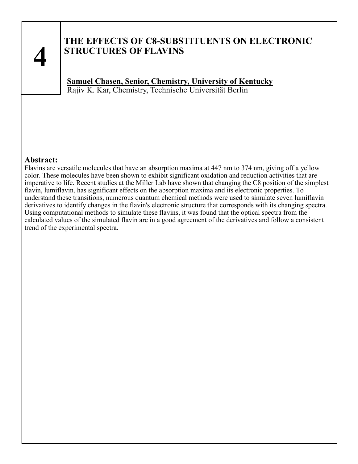## **THE EFFECTS OF C8-SUBSTITUENTS ON ELECTRONIC STRUCTURES OF FLAVINS**

**Samuel Chasen, Senior, Chemistry, University of Kentucky** Rajiv K. Kar, Chemistry, Technische Universität Berlin

### **Abstract:**

Flavins are versatile molecules that have an absorption maxima at 447 nm to 374 nm, giving off a yellow color. These molecules have been shown to exhibit significant oxidation and reduction activities that are imperative to life. Recent studies at the Miller Lab have shown that changing the C8 position of the simplest flavin, lumiflavin, has significant effects on the absorption maxima and its electronic properties. To understand these transitions, numerous quantum chemical methods were used to simulate seven lumiflavin derivatives to identify changes in the flavin's electronic structure that corresponds with its changing spectra. Using computational methods to simulate these flavins, it was found that the optical spectra from the calculated values of the simulated flavin are in a good agreement of the derivatives and follow a consistent trend of the experimental spectra.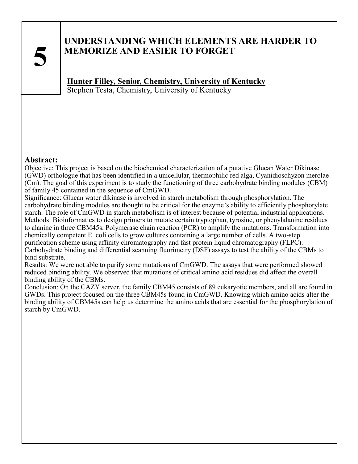## **UNDERSTANDING WHICH ELEMENTS ARE HARDER TO MEMORIZE AND EASIER TO FORGET**

**Hunter Filley, Senior, Chemistry, University of Kentucky** Stephen Testa, Chemistry, University of Kentucky

### **Abstract:**

Objective: This project is based on the biochemical characterization of a putative Glucan Water Dikinase (GWD) orthologue that has been identified in a unicellular, thermophilic red alga, Cyanidioschyzon merolae (Cm). The goal of this experiment is to study the functioning of three carbohydrate binding modules (CBM) of family 45 contained in the sequence of CmGWD.

Significance: Glucan water dikinase is involved in starch metabolism through phosphorylation. The carbohydrate binding modules are thought to be critical for the enzyme's ability to efficiently phosphorylate starch. The role of CmGWD in starch metabolism is of interest because of potential industrial applications. Methods: Bioinformatics to design primers to mutate certain tryptophan, tyrosine, or phenylalanine residues to alanine in three CBM45s. Polymerase chain reaction (PCR) to amplify the mutations. Transformation into chemically competent E. coli cells to grow cultures containing a large number of cells. A two-step purification scheme using affinity chromatography and fast protein liquid chromatography (FLPC). Carbohydrate binding and differential scanning fluorimetry (DSF) assays to test the ability of the CBMs to bind substrate.

Results: We were not able to purify some mutations of CmGWD. The assays that were performed showed reduced binding ability. We observed that mutations of critical amino acid residues did affect the overall binding ability of the CBMs.

Conclusion: On the CAZY server, the family CBM45 consists of 89 eukaryotic members, and all are found in GWDs. This project focused on the three CBM45s found in CmGWD. Knowing which amino acids alter the binding ability of CBM45s can help us determine the amino acids that are essential for the phosphorylation of starch by CmGWD.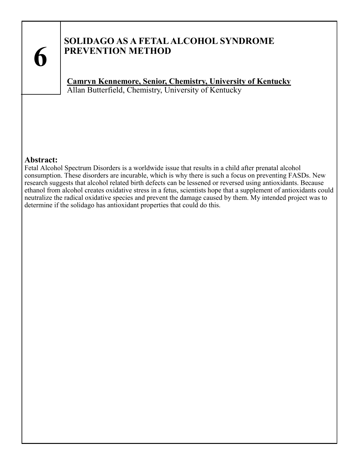## **SOLIDAGO AS A FETAL ALCOHOL SYNDROME PREVENTION METHOD**

**Camryn Kennemore, Senior, Chemistry, University of Kentucky** Allan Butterfield, Chemistry, University of Kentucky

### **Abstract:**

Fetal Alcohol Spectrum Disorders is a worldwide issue that results in a child after prenatal alcohol consumption. These disorders are incurable, which is why there is such a focus on preventing FASDs. New research suggests that alcohol related birth defects can be lessened or reversed using antioxidants. Because ethanol from alcohol creates oxidative stress in a fetus, scientists hope that a supplement of antioxidants could neutralize the radical oxidative species and prevent the damage caused by them. My intended project was to determine if the solidago has antioxidant properties that could do this.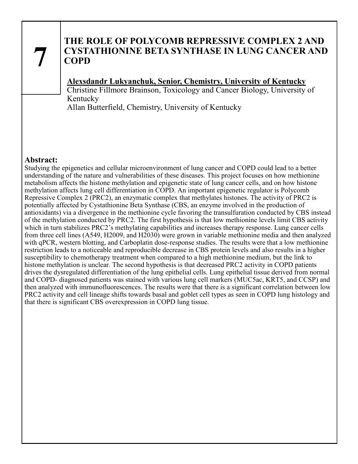## **THE ROLE OF POLYCOMB REPRESSIVE COMPLEX 2 AND CYSTATHIONINE BETA SYNTHASE IN LUNG CANCER AND COPD**

## **Alexsdandr Lukyanchuk, Senior, Chemistry, University of Kentucky**

Christine Fillmore Brainson, Toxicology and Cancer Biology, University of Kentucky

Allan Butterfield, Chemistry, University of Kentucky

### **Abstract:**

Studying the epigenetics and cellular microenvironment of lung cancer and COPD could lead to a better understanding of the nature and vulnerabilities of these diseases. This project focuses on how methionine metabolism affects the histone methylation and epigenetic state of lung cancer cells, and on how histone methylation affects lung cell differentiation in COPD. An important epigenetic regulator is Polycomb Repressive Complex 2 (PRC2), an enzymatic complex that methylates histones. The activity of PRC2 is potentially affected by Cystathionine Beta Synthase (CBS, an enzyme involved in the production of antioxidants) via a divergence in the methionine cycle favoring the transulfuration conducted by CBS instead of the methylation conducted by PRC2. The first hypothesis is that low methionine levels limit CBS activity which in turn stabilizes PRC2's methylating capabilities and increases therapy response. Lung cancer cells from three cell lines (A549, H2009, and H2030) were grown in variable methionine media and then analyzed with qPCR, western blotting, and Carboplatin dose-response studies. The results were that a low methionine restriction leads to a noticeable and reproducible decrease in CBS protein levels and also results in a higher susceptibility to chemotherapy treatment when compared to a high methionine medium, but the link to histone methylation is unclear. The second hypothesis is that decreased PRC2 activity in COPD patients drives the dysregulated differentiation of the lung epithelial cells. Lung epithelial tissue derived from normal and COPD- diagnosed patients was stained with various lung cell markers (MUC5ac, KRT5, and CCSP) and then analyzed with immunofluorescences. The results were that there is a significant correlation between low PRC2 activity and cell lineage shifts towards basal and goblet cell types as seen in COPD lung histology and that there is significant CBS overexpression in COPD lung tissue.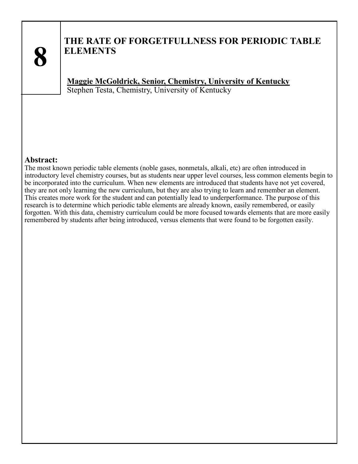

## **THE RATE OF FORGETFULLNESS FOR PERIODIC TABLE ELEMENTS**

**Maggie McGoldrick, Senior, Chemistry, University of Kentucky** Stephen Testa, Chemistry, University of Kentucky

#### **Abstract:**

The most known periodic table elements (noble gases, nonmetals, alkali, etc) are often introduced in introductory level chemistry courses, but as students near upper level courses, less common elements begin to be incorporated into the curriculum. When new elements are introduced that students have not yet covered, they are not only learning the new curriculum, but they are also trying to learn and remember an element. This creates more work for the student and can potentially lead to underperformance. The purpose of this research is to determine which periodic table elements are already known, easily remembered, or easily forgotten. With this data, chemistry curriculum could be more focused towards elements that are more easily remembered by students after being introduced, versus elements that were found to be forgotten easily.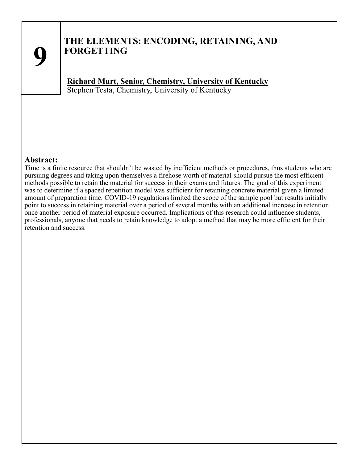

## **THE ELEMENTS: ENCODING, RETAINING, AND FORGETTING**

**Richard Murt, Senior, Chemistry, University of Kentucky** Stephen Testa, Chemistry, University of Kentucky

#### **Abstract:**

Time is a finite resource that shouldn't be wasted by inefficient methods or procedures, thus students who are pursuing degrees and taking upon themselves a firehose worth of material should pursue the most efficient methods possible to retain the material for success in their exams and futures. The goal of this experiment was to determine if a spaced repetition model was sufficient for retaining concrete material given a limited amount of preparation time. COVID-19 regulations limited the scope of the sample pool but results initially point to success in retaining material over a period of several months with an additional increase in retention once another period of material exposure occurred. Implications of this research could influence students, professionals, anyone that needs to retain knowledge to adopt a method that may be more efficient for their retention and success.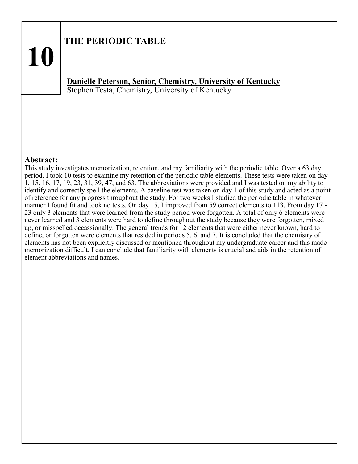## **THE PERIODIC TABLE**

## **Danielle Peterson, Senior, Chemistry, University of Kentucky** Stephen Testa, Chemistry, University of Kentucky

#### **Abstract:**

**10**

This study investigates memorization, retention, and my familiarity with the periodic table. Over a 63 day period, I took 10 tests to examine my retention of the periodic table elements. These tests were taken on day 1, 15, 16, 17, 19, 23, 31, 39, 47, and 63. The abbreviations were provided and I was tested on my ability to identify and correctly spell the elements. A baseline test was taken on day 1 of this study and acted as a point of reference for any progress throughout the study. For two weeks I studied the periodic table in whatever manner I found fit and took no tests. On day 15, I improved from 59 correct elements to 113. From day 17 - 23 only 3 elements that were learned from the study period were forgotten. A total of only 6 elements were never learned and 3 elements were hard to define throughout the study because they were forgotten, mixed up, or misspelled occassionally. The general trends for 12 elements that were either never known, hard to define, or forgotten were elements that resided in periods 5, 6, and 7. It is concluded that the chemistry of elements has not been explicitly discussed or mentioned throughout my undergraduate career and this made memorization difficult. I can conclude that familiarity with elements is crucial and aids in the retention of element abbreviations and names.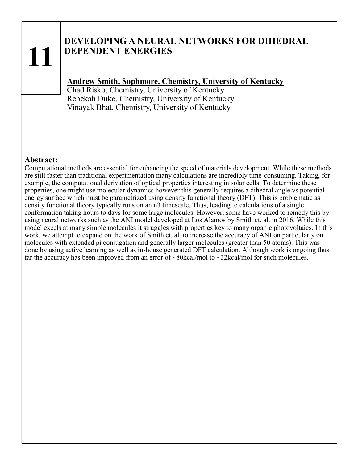## **DEVELOPING A NEURAL NETWORKS FOR DIHEDRAL DEPENDENT ENERGIES**

## **Andrew Smith, Sophmore, Chemistry, University of Kentucky**

Chad Risko, Chemistry, University of Kentucky Rebekah Duke, Chemistry, University of Kentucky Vinayak Bhat, Chemistry, University of Kentucky

### **Abstract:**

Computational methods are essential for enhancing the speed of materials development. While these methods are still faster than traditional experimentation many calculations are incredibly time-consuming. Taking, for example, the computational derivation of optical properties interesting in solar cells. To determine these properties, one might use molecular dynamics however this generally requires a dihedral angle vs potential energy surface which must be parametrized using density functional theory (DFT). This is problematic as density functional theory typically runs on an n3 timescale. Thus, leading to calculations of a single conformation taking hours to days for some large molecules. However, some have worked to remedy this by using neural networks such as the ANI model developed at Los Alamos by Smith et. al. in 2016. While this model excels at many simple molecules it struggles with properties key to many organic photovoltaics. In this work, we attempt to expand on the work of Smith et. al. to increase the accuracy of ANI on particularly on molecules with extended pi conjugation and generally larger molecules (greater than 50 atoms). This was done by using active learning as well as in-house generated DFT calculation. Although work is ongoing thus far the accuracy has been improved from an error of ~80kcal/mol to ~32kcal/mol for such molecules.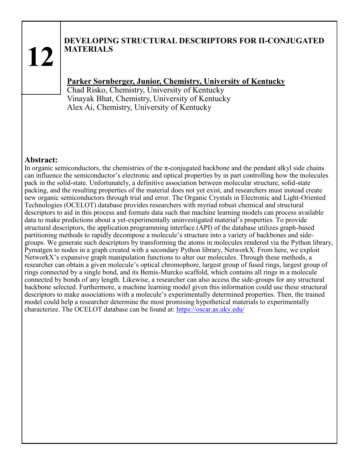## **DEVELOPING STRUCTURAL DESCRIPTORS FOR Π-CONJUGATED MATERIALS**

## **Parker Sornberger, Junior, Chemistry, University of Kentucky**

Chad Risko, Chemistry, University of Kentucky Vinayak Bhat, Chemistry, University of Kentucky Alex Ai, Chemistry, University of Kentucky

#### **Abstract:**

In organic semiconductors, the chemistries of the  $\pi$ -conjugated backbone and the pendant alkyl side chains can influence the semiconductor's electronic and optical properties by in part controlling how the molecules pack in the solid-state. Unfortunately, a definitive association between molecular structure, solid-state packing, and the resulting properties of the material does not yet exist, and researchers must instead create new organic semiconductors through trial and error. The Organic Crystals in Electronic and Light-Oriented Technologies (OCELOT) database provides researchers with myriad robust chemical and structural descriptors to aid in this process and formats data such that machine learning models can process available data to make predictions about a yet-experimentally uninvestigated material's properties. To provide structural descriptors, the application programming interface (API) of the database utilizes graph-based partitioning methods to rapidly decompose a molecule's structure into a variety of backbones and sidegroups. We generate such descriptors by transforming the atoms in molecules rendered via the Python library, Pymatgen to nodes in a graph created with a secondary Python library, NetworkX. From here, we exploit NetworkX's expansive graph manipulation functions to alter our molecules. Through these methods, a researcher can obtain a given molecule's optical chromophore, largest group of fused rings, largest group of rings connected by a single bond, and its Bemis-Murcko scaffold, which contains all rings in a molecule connected by bonds of any length. Likewise, a researcher can also access the side-groups for any structural backbone selected. Furthermore, a machine learning model given this information could use these structural descriptors to make associations with a molecule's experimentally determined properties. Then, the trained model could help a researcher determine the most promising hypothetical materials to experimentally characterize. The OCELOT database can be found at: <https://oscar.as.uky.edu/>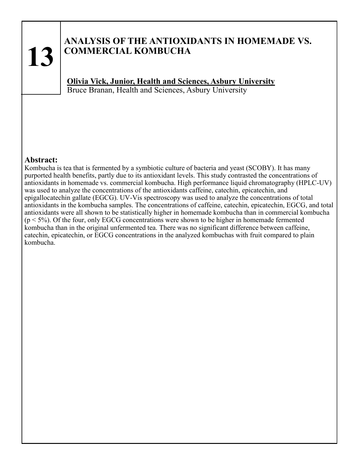## **ANALYSIS OF THE ANTIOXIDANTS IN HOMEMADE VS. COMMERCIAL KOMBUCHA**

**Olivia Vick, Junior, Health and Sciences, Asbury University**  Bruce Branan, Health and Sciences, Asbury University

#### **Abstract:**

Kombucha is tea that is fermented by a symbiotic culture of bacteria and yeast (SCOBY). It has many purported health benefits, partly due to its antioxidant levels. This study contrasted the concentrations of antioxidants in homemade vs. commercial kombucha. High performance liquid chromatography (HPLC-UV) was used to analyze the concentrations of the antioxidants caffeine, catechin, epicatechin, and epigallocatechin gallate (EGCG). UV-Vis spectroscopy was used to analyze the concentrations of total antioxidants in the kombucha samples. The concentrations of caffeine, catechin, epicatechin, EGCG, and total antioxidants were all shown to be statistically higher in homemade kombucha than in commercial kombucha  $(p < 5\%)$ . Of the four, only EGCG concentrations were shown to be higher in homemade fermented kombucha than in the original unfermented tea. There was no significant difference between caffeine, catechin, epicatechin, or EGCG concentrations in the analyzed kombuchas with fruit compared to plain kombucha.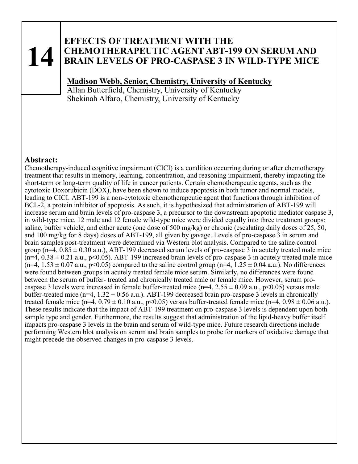## **EFFECTS OF TREATMENT WITH THE CHEMOTHERAPEUTIC AGENT ABT-199 ON SERUM AND BRAIN LEVELS OF PRO-CASPASE 3 IN WILD-TYPE MICE**

## **Madison Webb, Senior, Chemistry, University of Kentucky**

Allan Butterfield, Chemistry, University of Kentucky Shekinah Alfaro, Chemistry, University of Kentucky

### **Abstract:**

Chemotherapy-induced cognitive impairment (CICI) is a condition occurring during or after chemotherapy treatment that results in memory, learning, concentration, and reasoning impairment, thereby impacting the short-term or long-term quality of life in cancer patients. Certain chemotherapeutic agents, such as the cytotoxic Doxorubicin (DOX), have been shown to induce apoptosis in both tumor and normal models, leading to CICI. ABT-199 is a non-cytotoxic chemotherapeutic agent that functions through inhibition of BCL-2, a protein inhibitor of apoptosis. As such, it is hypothesized that administration of ABT-199 will increase serum and brain levels of pro-caspase 3, a precursor to the downstream apoptotic mediator caspase 3, in wild-type mice. 12 male and 12 female wild-type mice were divided equally into three treatment groups: saline, buffer vehicle, and either acute (one dose of 500 mg/kg) or chronic (escalating daily doses of 25, 50, and 100 mg/kg for 8 days) doses of ABT-199, all given by gavage. Levels of pro-caspase 3 in serum and brain samples post-treatment were determined via Western blot analysis. Compared to the saline control group (n=4,  $0.85 \pm 0.30$  a.u.), ABT-199 decreased serum levels of pro-caspase 3 in acutely treated male mice  $(n=4, 0.38 \pm 0.21 \text{ a.u.}, p<0.05)$ . ABT-199 increased brain levels of pro-caspase 3 in acutely treated male mice  $(n=4, 1.53 \pm 0.07 \text{ a.u.}, p<0.05)$  compared to the saline control group  $(n=4, 1.25 \pm 0.04 \text{ a.u.})$ . No differences were found between groups in acutely treated female mice serum. Similarly, no differences were found between the serum of buffer- treated and chronically treated male or female mice. However, serum procaspase 3 levels were increased in female buffer-treated mice (n=4,  $2.55 \pm 0.09$  a.u., p<0.05) versus male buffer-treated mice (n=4,  $1.32 \pm 0.56$  a.u.). ABT-199 decreased brain pro-caspase 3 levels in chronically treated female mice (n=4,  $0.79 \pm 0.10$  a.u., p<0.05) versus buffer-treated female mice (n=4,  $0.98 \pm 0.06$  a.u.). These results indicate that the impact of ABT-199 treatment on pro-caspase 3 levels is dependent upon both sample type and gender. Furthermore, the results suggest that administration of the lipid-heavy buffer itself impacts pro-caspase 3 levels in the brain and serum of wild-type mice. Future research directions include performing Western blot analysis on serum and brain samples to probe for markers of oxidative damage that might precede the observed changes in pro-caspase 3 levels.